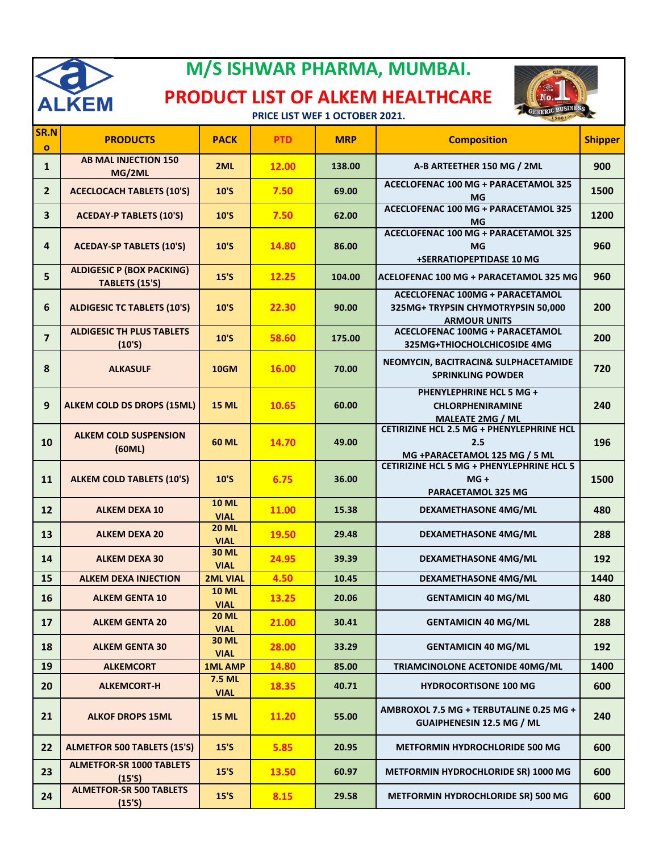

## **M/S ISHWAR PHARMA, MUMBAI.**

## **PRODUCT LIST OF ALKEM HEALTHCARE**



**PRICE LIST WEF 1 OCTOBER 2021.**

| SR.N<br>$\mathbf{o}$    | <b>PRODUCTS</b>                                    | <b>PACK</b>                 | <b>PTD</b> | <b>MRP</b> | <b>Composition</b>                                                                                  | <b>Shipper</b> |
|-------------------------|----------------------------------------------------|-----------------------------|------------|------------|-----------------------------------------------------------------------------------------------------|----------------|
| $\mathbf{1}$            | <b>AB MAL INJECTION 150</b><br>MG/2ML              | 2ML                         | 12.00      | 138.00     | A-B ARTEETHER 150 MG / 2ML                                                                          | 900            |
| $\overline{2}$          | <b>ACECLOCACH TABLETS (10'S)</b>                   | 10'S                        | 7.50       | 69.00      | ACECLOFENAC 100 MG + PARACETAMOL 325<br><b>MG</b>                                                   | 1500           |
| $\overline{\mathbf{3}}$ | <b>ACEDAY-P TABLETS (10'S)</b>                     | 10'S                        | 7.50       | 62.00      | <b>ACECLOFENAC 100 MG + PARACETAMOL 325</b><br>MG                                                   | 1200           |
| 4                       | <b>ACEDAY-SP TABLETS (10'S)</b>                    | 10'S                        | 14.80      | 86.00      | <b>ACECLOFENAC 100 MG + PARACETAMOL 325</b><br><b>MG</b><br>+SERRATIOPEPTIDASE 10 MG                | 960            |
| 5                       | <b>ALDIGESIC P (BOX PACKING)</b><br>TABLETS (15'S) | 15'S                        | 12.25      | 104.00     | ACELOFENAC 100 MG + PARACETAMOL 325 MG                                                              | 960            |
| 6                       | <b>ALDIGESIC TC TABLETS (10'S)</b>                 | 10'S                        | 22.30      | 90.00      | <b>ACECLOFENAC 100MG + PARACETAMOL</b><br>325MG+ TRYPSIN CHYMOTRYPSIN 50,000<br><b>ARMOUR UNITS</b> | 200            |
| $\overline{7}$          | <b>ALDIGESIC TH PLUS TABLETS</b><br>(10'S)         | 10'S                        | 58.60      | 175.00     | <b>ACECLOFENAC 100MG + PARACETAMOL</b><br>325MG+THIOCHOLCHICOSIDE 4MG                               | 200            |
| 8                       | <b>ALKASULF</b>                                    | <b>10GM</b>                 | 16.00      | 70.00      | NEOMYCIN, BACITRACIN& SULPHACETAMIDE<br><b>SPRINKLING POWDER</b>                                    | 720            |
| 9                       | <b>ALKEM COLD DS DROPS (15ML)</b>                  | <b>15 ML</b>                | 10.65      | 60.00      | PHENYLEPHRINE HCL 5 MG +<br><b>CHLORPHENIRAMINE</b><br><b>MALEATE 2MG / ML</b>                      | 240            |
| 10                      | <b>ALKEM COLD SUSPENSION</b><br>(60ML)             | <b>60 ML</b>                | 14.70      | 49.00      | CETIRIZINE HCL 2.5 MG + PHENYLEPHRINE HCL<br>2.5<br>MG +PARACETAMOL 125 MG / 5 ML                   | 196            |
| 11                      | <b>ALKEM COLD TABLETS (10'S)</b>                   | 10'S                        | 6.75       | 36.00      | <b>CETIRIZINE HCL 5 MG + PHENYLEPHRINE HCL 5</b><br>$MG +$<br><b>PARACETAMOL 325 MG</b>             | 1500           |
| 12                      | <b>ALKEM DEXA 10</b>                               | <b>10 ML</b><br><b>VIAL</b> | 11.00      | 15.38      | <b>DEXAMETHASONE 4MG/ML</b>                                                                         | 480            |
| 13                      | <b>ALKEM DEXA 20</b>                               | <b>20 ML</b><br><b>VIAL</b> | 19.50      | 29.48      | <b>DEXAMETHASONE 4MG/ML</b>                                                                         | 288            |
| 14                      | <b>ALKEM DEXA 30</b>                               | <b>30 ML</b><br><b>VIAL</b> | 24.95      | 39.39      | <b>DEXAMETHASONE 4MG/ML</b>                                                                         | 192            |
| 15                      | <b>ALKEM DEXA INJECTION</b>                        | <b>2ML VIAL</b>             | 4.50       | 10.45      | <b>DEXAMETHASONE 4MG/ML</b>                                                                         | 1440           |
| 16                      | <b>ALKEM GENTA 10</b>                              | <b>10 ML</b><br><b>VIAL</b> | 13.25      | 20.06      | <b>GENTAMICIN 40 MG/ML</b>                                                                          | 480            |
| 17                      | <b>ALKEM GENTA 20</b>                              | <b>20 ML</b><br><b>VIAL</b> | 21.00      | 30.41      | <b>GENTAMICIN 40 MG/ML</b>                                                                          | 288            |
| 18                      | <b>ALKEM GENTA 30</b>                              | <b>30 ML</b><br><b>VIAL</b> | 28.00      | 33.29      | <b>GENTAMICIN 40 MG/ML</b>                                                                          | 192            |
| 19                      | <b>ALKEMCORT</b>                                   | <b>1ML AMP</b>              | 14.80      | 85.00      | TRIAMCINOLONE ACETONIDE 40MG/ML                                                                     | 1400           |
| 20                      | <b>ALKEMCORT-H</b>                                 | 7.5 ML<br><b>VIAL</b>       | 18.35      | 40.71      | <b>HYDROCORTISONE 100 MG</b>                                                                        | 600            |
| 21                      | <b>ALKOF DROPS 15ML</b>                            | <b>15 ML</b>                | 11.20      | 55.00      | AMBROXOL 7.5 MG + TERBUTALINE 0.25 MG +<br><b>GUAIPHENESIN 12.5 MG / ML</b>                         | 240            |
| 22                      | <b>ALMETFOR 500 TABLETS (15'S)</b>                 | $15'$ S                     | 5.85       | 20.95      | <b>METFORMIN HYDROCHLORIDE 500 MG</b>                                                               | 600            |
| 23                      | <b>ALMETFOR-SR 1000 TABLETS</b><br>(15'S)          | $15'$ S                     | 13.50      | 60.97      | METFORMIN HYDROCHLORIDE SR) 1000 MG                                                                 | 600            |
| 24                      | <b>ALMETFOR-SR 500 TABLETS</b><br>$(15'$ S)        | 15'S                        | 8.15       | 29.58      | METFORMIN HYDROCHLORIDE SR) 500 MG                                                                  | 600            |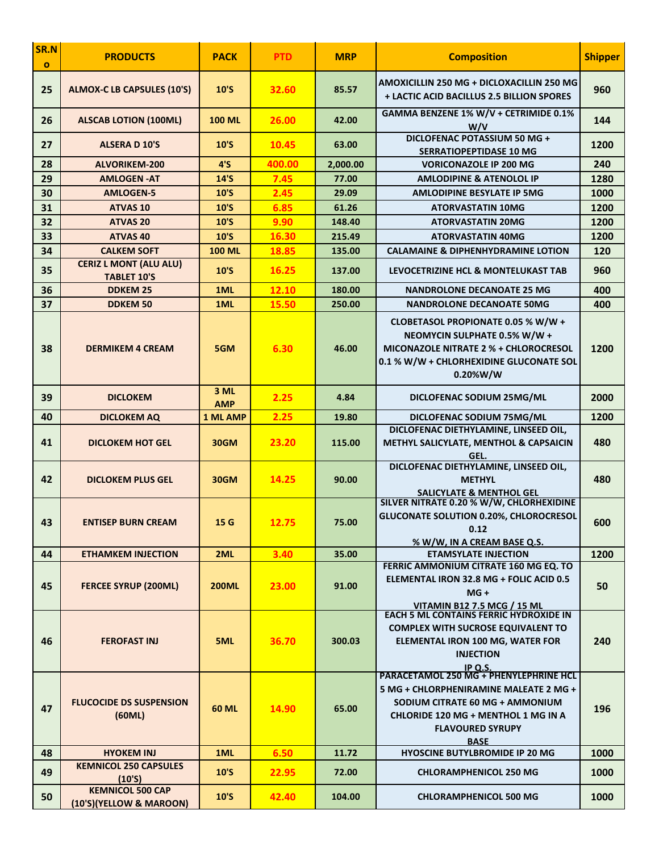| SR.N<br>$\mathbf{o}$ | <b>PRODUCTS</b>                                    | <b>PACK</b>        | <b>PTD</b> | <b>MRP</b> | <b>Composition</b>                                                                                                                                                                                                 | <b>Shipper</b> |
|----------------------|----------------------------------------------------|--------------------|------------|------------|--------------------------------------------------------------------------------------------------------------------------------------------------------------------------------------------------------------------|----------------|
| 25                   | <b>ALMOX-C LB CAPSULES (10'S)</b>                  | 10'S               | 32.60      | 85.57      | AMOXICILLIN 250 MG + DICLOXACILLIN 250 MG<br><b>+ LACTIC ACID BACILLUS 2.5 BILLION SPORES</b>                                                                                                                      | 960            |
| 26                   | <b>ALSCAB LOTION (100ML)</b>                       | <b>100 ML</b>      | 26.00      | 42.00      | GAMMA BENZENE 1% W/V + CETRIMIDE 0.1%<br>W/V                                                                                                                                                                       | 144            |
| 27                   | <b>ALSERA D 10'S</b>                               | 10'S               | 10.45      | 63.00      | DICLOFENAC POTASSIUM 50 MG +<br><b>SERRATIOPEPTIDASE 10 MG</b>                                                                                                                                                     | 1200           |
| 28                   | <b>ALVORIKEM-200</b>                               | 4'S                | 400.00     | 2,000.00   | <b>VORICONAZOLE IP 200 MG</b>                                                                                                                                                                                      | 240            |
| 29                   | <b>AMLOGEN-AT</b>                                  | 14'S               | 7.45       | 77.00      | <b>AMLODIPINE &amp; ATENOLOL IP</b>                                                                                                                                                                                | 1280           |
| 30                   | <b>AMLOGEN-5</b>                                   | 10'S               | 2.45       | 29.09      | <b>AMLODIPINE BESYLATE IP 5MG</b>                                                                                                                                                                                  | 1000           |
| 31                   | <b>ATVAS 10</b>                                    | 10'S               | 6.85       | 61.26      | <b>ATORVASTATIN 10MG</b>                                                                                                                                                                                           | 1200           |
| 32                   | <b>ATVAS 20</b>                                    | 10'S               | 9.90       | 148.40     | <b>ATORVASTATIN 20MG</b>                                                                                                                                                                                           | 1200           |
| 33                   | <b>ATVAS 40</b>                                    | 10'S               | 16.30      | 215.49     | <b>ATORVASTATIN 40MG</b>                                                                                                                                                                                           | 1200           |
| 34                   | <b>CALKEM SOFT</b>                                 | <b>100 ML</b>      | 18.85      | 135.00     | <b>CALAMAINE &amp; DIPHENHYDRAMINE LOTION</b>                                                                                                                                                                      | 120            |
| 35                   | <b>CERIZ L MONT (ALU ALU)</b>                      | 10'S               | 16.25      | 137.00     | LEVOCETRIZINE HCL & MONTELUKAST TAB                                                                                                                                                                                | 960            |
|                      | <b>TABLET 10'S</b>                                 |                    |            |            |                                                                                                                                                                                                                    |                |
| 36                   | <b>DDKEM 25</b>                                    | 1ML                | 12.10      | 180.00     | <b>NANDROLONE DECANOATE 25 MG</b>                                                                                                                                                                                  | 400            |
| 37                   | <b>DDKEM 50</b>                                    | 1ML                | 15.50      | 250.00     | <b>NANDROLONE DECANOATE 50MG</b>                                                                                                                                                                                   | 400            |
| 38                   | <b>DERMIKEM 4 CREAM</b>                            | 5GM                | 6.30       | 46.00      | CLOBETASOL PROPIONATE 0.05 % W/W +<br>NEOMYCIN SULPHATE 0.5% W/W +<br><b>MICONAZOLE NITRATE 2 % + CHLOROCRESOL</b><br>0.1 % W/W + CHLORHEXIDINE GLUCONATE SOL<br>0.20%W/W                                          | 1200           |
| 39                   | <b>DICLOKEM</b>                                    | 3 ML<br><b>AMP</b> | 2.25       | 4.84       | DICLOFENAC SODIUM 25MG/ML                                                                                                                                                                                          | 2000           |
| 40                   | <b>DICLOKEM AQ</b>                                 | <b>1 ML AMP</b>    | 2.25       | 19.80      | DICLOFENAC SODIUM 75MG/ML                                                                                                                                                                                          | 1200           |
| 41                   | <b>DICLOKEM HOT GEL</b>                            | 30GM               | 23.20      | 115.00     | DICLOFENAC DIETHYLAMINE, LINSEED OIL,<br>METHYL SALICYLATE, MENTHOL & CAPSAICIN                                                                                                                                    | 480            |
| 42                   | <b>DICLOKEM PLUS GEL</b>                           | 30GM               | 14.25      | 90.00      | GEL.<br>DICLOFENAC DIETHYLAMINE, LINSEED OIL,<br><b>METHYL</b><br><b>SALICYLATE &amp; MENTHOL GEL</b>                                                                                                              | 480            |
| 43                   | <b>ENTISEP BURN CREAM</b>                          | 15 <sub>G</sub>    | 12.75      | 75.00      | SILVER NITRATE 0.20 % W/W, CHLORHEXIDINE<br><b>GLUCONATE SOLUTION 0.20%, CHLOROCRESOL</b><br>0.12<br>% W/W, IN A CREAM BASE Q.S.                                                                                   | 600            |
| 44                   | <b>ETHAMKEM INJECTION</b>                          | 2ML                | 3.40       | 35.00      | <b>ETAMSYLATE INJECTION</b>                                                                                                                                                                                        | 1200           |
| 45                   | <b>FERCEE SYRUP (200ML)</b>                        | <b>200ML</b>       | 23.00      | 91.00      | FERRIC AMMONIUM CITRATE 160 MG EQ. TO<br>ELEMENTAL IRON 32.8 MG + FOLIC ACID 0.5<br>$MG +$<br><b>VITAMIN B12 7.5 MCG / 15 ML</b>                                                                                   | 50             |
| 46                   | <b>FEROFAST INJ</b>                                | 5ML                | 36.70      | 300.03     | <b>EACH 5 ML CONTAINS FERRIC HYDROXIDE IN</b><br><b>COMPLEX WITH SUCROSE EQUIVALENT TO</b><br>ELEMENTAL IRON 100 MG, WATER FOR<br><b>INJECTION</b><br>IP Q.S.                                                      | 240            |
| 47                   | <b>FLUCOCIDE DS SUSPENSION</b><br>(60ML)           | <b>60 ML</b>       | 14.90      | 65.00      | <b>PARACETAMOL 250 MG + PHENYLEPHRINE HCL</b><br>5 MG + CHLORPHENIRAMINE MALEATE 2 MG +<br>SODIUM CITRATE 60 MG + AMMONIUM<br><b>CHLORIDE 120 MG + MENTHOL 1 MG IN A</b><br><b>FLAVOURED SYRUPY</b><br><b>BASE</b> | 196            |
| 48                   | <b>HYOKEM INJ</b>                                  | 1ML                | 6.50       | 11.72      | <b>HYOSCINE BUTYLBROMIDE IP 20 MG</b>                                                                                                                                                                              | 1000           |
| 49                   | <b>KEMNICOL 250 CAPSULES</b><br>(10'S)             | 10'S               | 22.95      | 72.00      | <b>CHLORAMPHENICOL 250 MG</b>                                                                                                                                                                                      | 1000           |
| 50                   | <b>KEMNICOL 500 CAP</b><br>(10'S)(YELLOW & MAROON) | 10'S               | 42.40      | 104.00     | <b>CHLORAMPHENICOL 500 MG</b>                                                                                                                                                                                      | 1000           |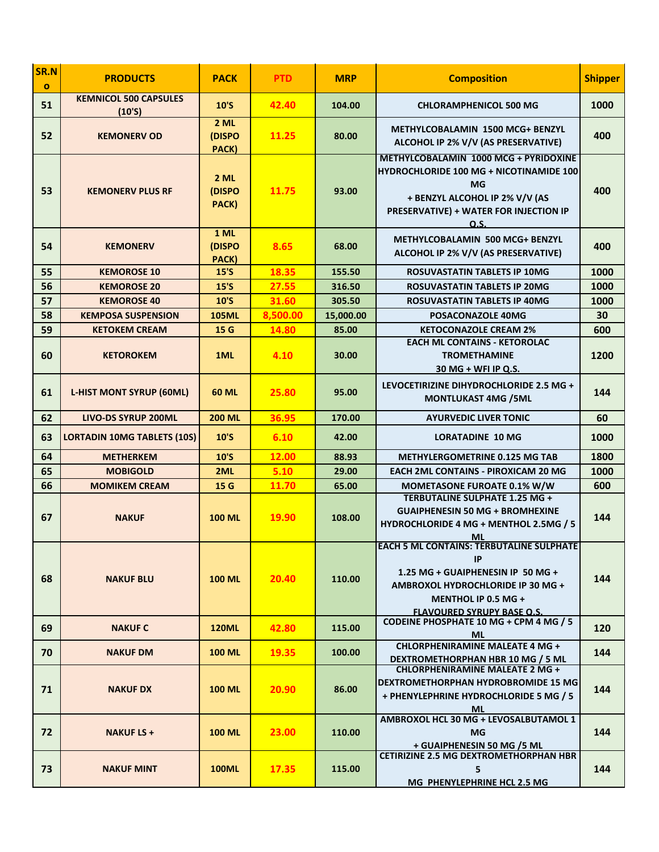| SR.N<br>$\mathbf{o}$ | <b>PRODUCTS</b>                        | <b>PACK</b>             | <b>PTD</b> | <b>MRP</b> | <b>Composition</b>                                                                                                                                                                              | <b>Shipper</b> |
|----------------------|----------------------------------------|-------------------------|------------|------------|-------------------------------------------------------------------------------------------------------------------------------------------------------------------------------------------------|----------------|
| 51                   | <b>KEMNICOL 500 CAPSULES</b><br>(10'S) | 10'S                    | 42.40      | 104.00     | <b>CHLORAMPHENICOL 500 MG</b>                                                                                                                                                                   | 1000           |
| 52                   | <b>KEMONERV OD</b>                     | 2 ML<br>(DISPO<br>PACK) | 11.25      | 80.00      | <b>METHYLCOBALAMIN 1500 MCG+ BENZYL</b><br>ALCOHOL IP 2% V/V (AS PRESERVATIVE)                                                                                                                  | 400            |
| 53                   | <b>KEMONERV PLUS RF</b>                | 2 ML<br>(DISPO<br>PACK) | 11.75      | 93.00      | METHYLCOBALAMIN 1000 MCG + PYRIDOXINE<br><b>HYDROCHLORIDE 100 MG + NICOTINAMIDE 100</b><br><b>MG</b><br>+ BENZYL ALCOHOL IP 2% V/V (AS<br><b>PRESERVATIVE) + WATER FOR INJECTION IP</b><br>O.S. | 400            |
| 54                   | <b>KEMONERV</b>                        | 1 ML<br>(DISPO<br>PACK) | 8.65       | 68.00      | <b>METHYLCOBALAMIN 500 MCG+ BENZYL</b><br>ALCOHOL IP 2% V/V (AS PRESERVATIVE)                                                                                                                   | 400            |
| 55                   | <b>KEMOROSE 10</b>                     | $15'$ S                 | 18.35      | 155.50     | ROSUVASTATIN TABLETS IP 10MG                                                                                                                                                                    | 1000           |
| 56                   | <b>KEMOROSE 20</b>                     | 15'S                    | 27.55      | 316.50     | <b>ROSUVASTATIN TABLETS IP 20MG</b>                                                                                                                                                             | 1000           |
| 57                   | <b>KEMOROSE 40</b>                     | 10'S                    | 31.60      | 305.50     | ROSUVASTATIN TABLETS IP 40MG                                                                                                                                                                    | 1000           |
| 58                   | <b>KEMPOSA SUSPENSION</b>              | <b>105ML</b>            | 8,500.00   | 15,000.00  | POSACONAZOLE 40MG                                                                                                                                                                               | 30             |
| 59                   | <b>KETOKEM CREAM</b>                   | 15 G                    | 14.80      | 85.00      | <b>KETOCONAZOLE CREAM 2%</b>                                                                                                                                                                    | 600            |
| 60                   | <b>KETOROKEM</b>                       | 1ML                     | 4.10       | 30.00      | <b>EACH ML CONTAINS - KETOROLAC</b><br><b>TROMETHAMINE</b><br>30 MG + WFI IP Q.S.                                                                                                               | 1200           |
| 61                   | <b>L-HIST MONT SYRUP (60ML)</b>        | <b>60 ML</b>            | 25.80      | 95.00      | LEVOCETIRIZINE DIHYDROCHLORIDE 2.5 MG +<br><b>MONTLUKAST 4MG /5ML</b>                                                                                                                           | 144            |
| 62                   | <b>LIVO-DS SYRUP 200ML</b>             | <b>200 ML</b>           | 36.95      | 170.00     | <b>AYURVEDIC LIVER TONIC</b>                                                                                                                                                                    | 60             |
| 63                   | <b>LORTADIN 10MG TABLETS (10S)</b>     | 10'S                    | 6.10       | 42.00      | <b>LORATADINE 10 MG</b>                                                                                                                                                                         | 1000           |
| 64                   | <b>METHERKEM</b>                       | 10'S                    | 12.00      | 88.93      | <b>METHYLERGOMETRINE 0.125 MG TAB</b>                                                                                                                                                           | 1800           |
| 65                   | <b>MOBIGOLD</b>                        | 2ML                     | 5.10       | 29.00      | <b>EACH 2ML CONTAINS - PIROXICAM 20 MG</b>                                                                                                                                                      | 1000           |
| 66                   | <b>MOMIKEM CREAM</b>                   | 15 G                    | 11.70      | 65.00      | MOMETASONE FUROATE 0.1% W/W                                                                                                                                                                     | 600            |
| 67                   | <b>NAKUF</b>                           | <b>100 ML</b>           | 19.90      | 108.00     | <b>TERBUTALINE SULPHATE 1.25 MG +</b><br><b>GUAIPHENESIN 50 MG + BROMHEXINE</b><br>HYDROCHLORIDE 4 MG + MENTHOL 2.5MG / 5<br>ML                                                                 | 144            |
| 68                   | <b>NAKUF BLU</b>                       | <b>100 ML</b>           | 20.40      | 110.00     | <b>EACH 5 ML CONTAINS: TERBUTALINE SULPHATE</b><br>IP<br>1.25 MG + GUAIPHENESIN IP 50 MG +<br>AMBROXOL HYDROCHLORIDE IP 30 MG +<br>MENTHOL IP 0.5 MG +<br><b>FLAVOURED SYRUPY BASE Q.S.</b>     | 144            |
| 69                   | <b>NAKUF C</b>                         | <b>120ML</b>            | 42.80      | 115.00     | CODEINE PHOSPHATE 10 MG + CPM 4 MG / 5<br>ML                                                                                                                                                    | 120            |
| 70                   | <b>NAKUF DM</b>                        | <b>100 ML</b>           | 19.35      | 100.00     | <b>CHLORPHENIRAMINE MALEATE 4 MG +</b><br>DEXTROMETHORPHAN HBR 10 MG / 5 ML                                                                                                                     | 144            |
| 71                   | <b>NAKUF DX</b>                        | <b>100 ML</b>           | 20.90      | 86.00      | <b>CHLORPHENIRAMINE MALEATE 2 MG +</b><br><b>DEXTROMETHORPHAN HYDROBROMIDE 15 MG</b><br>+ PHENYLEPHRINE HYDROCHLORIDE 5 MG / 5<br>ML                                                            | 144            |
| 72                   | <b>NAKUF LS +</b>                      | <b>100 ML</b>           | 23.00      | 110.00     | AMBROXOL HCL 30 MG + LEVOSALBUTAMOL 1<br><b>MG</b><br>+ GUAIPHENESIN 50 MG /5 ML                                                                                                                | 144            |
| 73                   | <b>NAKUF MINT</b>                      | <b>100ML</b>            | 17.35      | 115.00     | <b>CETIRIZINE 2.5 MG DEXTROMETHORPHAN HBR</b><br>5<br>MG PHENYLEPHRINE HCL 2.5 MG                                                                                                               | 144            |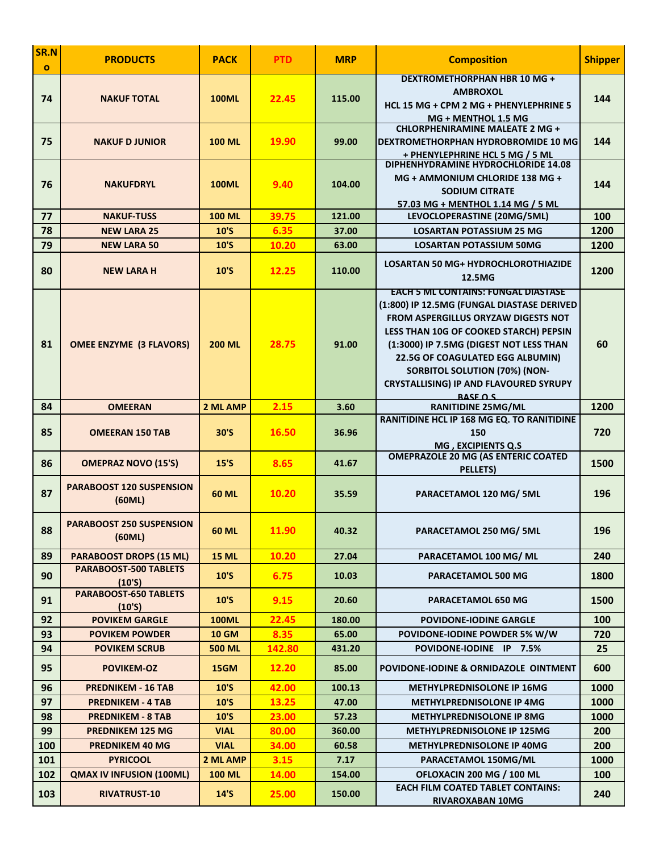| SR.N<br>$\mathbf{o}$ | <b>PRODUCTS</b>                           | <b>PACK</b>               | <b>PTD</b>    | <b>MRP</b>     | <b>Composition</b>                                                                                                                                                                                                                                                                                                                                                                | <b>Shipper</b> |
|----------------------|-------------------------------------------|---------------------------|---------------|----------------|-----------------------------------------------------------------------------------------------------------------------------------------------------------------------------------------------------------------------------------------------------------------------------------------------------------------------------------------------------------------------------------|----------------|
| 74                   | <b>NAKUF TOTAL</b>                        | <b>100ML</b>              | 22.45         | 115.00         | DEXTROMETHORPHAN HBR 10 MG +<br><b>AMBROXOL</b><br>HCL 15 MG + CPM 2 MG + PHENYLEPHRINE 5<br>MG + MENTHOL 1.5 MG                                                                                                                                                                                                                                                                  | 144            |
| 75                   | <b>NAKUF DJUNIOR</b>                      | <b>100 ML</b>             | 19.90         | 99.00          | <b>CHLORPHENIRAMINE MALEATE 2 MG +</b><br>DEXTROMETHORPHAN HYDROBROMIDE 10 MG<br>+ PHENYLEPHRINE HCL 5 MG / 5 ML                                                                                                                                                                                                                                                                  | 144            |
| 76                   | <b>NAKUFDRYL</b>                          | <b>100ML</b>              | 9.40          | 104.00         | DIPHENHYDRAMINE HYDROCHLORIDE 14.08<br>MG + AMMONIUM CHLORIDE 138 MG +<br><b>SODIUM CITRATE</b><br>57.03 MG + MENTHOL 1.14 MG / 5 ML                                                                                                                                                                                                                                              | 144            |
| 77                   | <b>NAKUF-TUSS</b>                         | <b>100 ML</b>             | 39.75         | 121.00         | LEVOCLOPERASTINE (20MG/5ML)                                                                                                                                                                                                                                                                                                                                                       | 100            |
| 78                   | <b>NEW LARA 25</b>                        | 10'S                      | 6.35          | 37.00          | <b>LOSARTAN POTASSIUM 25 MG</b>                                                                                                                                                                                                                                                                                                                                                   | 1200           |
| 79                   | <b>NEW LARA 50</b>                        | 10'S                      | 10.20         | 63.00          | <b>LOSARTAN POTASSIUM 50MG</b>                                                                                                                                                                                                                                                                                                                                                    | 1200           |
| 80                   | <b>NEW LARA H</b>                         | 10'S                      | 12.25         | 110.00         | <b>LOSARTAN 50 MG+ HYDROCHLOROTHIAZIDE</b><br>12.5MG                                                                                                                                                                                                                                                                                                                              | 1200           |
| 81                   | <b>OMEE ENZYME (3 FLAVORS)</b>            | <b>200 ML</b>             | 28.75         | 91.00          | <b>EACH 5 ML CONTAINS: FUNGAL DIASTASE</b><br>(1:800) IP 12.5MG (FUNGAL DIASTASE DERIVED<br><b>FROM ASPERGILLUS ORYZAW DIGESTS NOT</b><br>LESS THAN 10G OF COOKED STARCH) PEPSIN<br>(1:3000) IP 7.5MG (DIGEST NOT LESS THAN<br><b>22.5G OF COAGULATED EGG ALBUMIN)</b><br><b>SORBITOL SOLUTION (70%) (NON-</b><br><b>CRYSTALLISING) IP AND FLAVOURED SYRUPY</b><br><b>RASE OS</b> | 60             |
| 84                   | <b>OMEERAN</b>                            | 2 ML AMP                  | 2.15          | 3.60           | <b>RANITIDINE 25MG/ML</b>                                                                                                                                                                                                                                                                                                                                                         | 1200           |
| 85                   | <b>OMEERAN 150 TAB</b>                    | 30'S                      | 16.50         | 36.96          | RANITIDINE HCL IP 168 MG EQ. TO RANITIDINE<br>150<br>MG, EXCIPIENTS Q.S                                                                                                                                                                                                                                                                                                           | 720            |
| 86                   | <b>OMEPRAZ NOVO (15'S)</b>                | 15'S                      | 8.65          | 41.67          | <b>OMEPRAZOLE 20 MG (AS ENTERIC COATED</b><br><b>PELLETS</b>                                                                                                                                                                                                                                                                                                                      | 1500           |
| 87                   | <b>PARABOOST 120 SUSPENSION</b><br>(60ML) | <b>60 ML</b>              | 10.20         | 35.59          | PARACETAMOL 120 MG/ 5ML                                                                                                                                                                                                                                                                                                                                                           | 196            |
| 88                   | <b>PARABOOST 250 SUSPENSION</b><br>(60ML) | <b>60 ML</b>              | 11.90         | 40.32          | <b>PARACETAMOL 250 MG/ 5ML</b>                                                                                                                                                                                                                                                                                                                                                    | 196            |
| 89                   | <b>PARABOOST DROPS (15 ML)</b>            | <b>15 ML</b>              | 10.20         | 27.04          | PARACETAMOL 100 MG/ ML                                                                                                                                                                                                                                                                                                                                                            | 240            |
| 90                   | PARABOOST-500 TABLETS<br>(10'S)           | 10'S                      | 6.75          | 10.03          | <b>PARACETAMOL 500 MG</b>                                                                                                                                                                                                                                                                                                                                                         | 1800           |
| 91                   | PARABOOST-650 TABLETS<br>(10'S)           | 10'S                      | 9.15          | 20.60          | <b>PARACETAMOL 650 MG</b>                                                                                                                                                                                                                                                                                                                                                         | 1500           |
| 92                   | <b>POVIKEM GARGLE</b>                     | <b>100ML</b>              | 22.45         | 180.00         | <b>POVIDONE-IODINE GARGLE</b>                                                                                                                                                                                                                                                                                                                                                     | 100            |
| 93                   | <b>POVIKEM POWDER</b>                     | <b>10 GM</b>              | 8.35          | 65.00          | POVIDONE-IODINE POWDER 5% W/W                                                                                                                                                                                                                                                                                                                                                     | 720            |
| 94                   | <b>POVIKEM SCRUB</b>                      | <b>500 ML</b>             | 142.80        | 431.20         | POVIDONE-IODINE IP 7.5%                                                                                                                                                                                                                                                                                                                                                           | 25             |
| 95                   | <b>POVIKEM-OZ</b>                         | 15GM                      | 12.20         | 85.00          | POVIDONE-IODINE & ORNIDAZOLE OINTMENT                                                                                                                                                                                                                                                                                                                                             | 600            |
| 96                   | <b>PREDNIKEM - 16 TAB</b>                 | 10'S                      | 42.00         | 100.13         | <b>METHYLPREDNISOLONE IP 16MG</b>                                                                                                                                                                                                                                                                                                                                                 | 1000           |
| 97                   | <b>PREDNIKEM - 4 TAB</b>                  | 10'S                      | 13.25         | 47.00          | <b>METHYLPREDNISOLONE IP 4MG</b>                                                                                                                                                                                                                                                                                                                                                  | 1000           |
| 98                   | <b>PREDNIKEM - 8 TAB</b>                  | 10'S                      | 23.00         | 57.23          | <b>METHYLPREDNISOLONE IP 8MG</b>                                                                                                                                                                                                                                                                                                                                                  | 1000           |
| 99                   | <b>PREDNIKEM 125 MG</b>                   | <b>VIAL</b>               | 80.00         | 360.00         | <b>METHYLPREDNISOLONE IP 125MG</b>                                                                                                                                                                                                                                                                                                                                                | 200            |
| 100                  | <b>PREDNIKEM 40 MG</b><br><b>PYRICOOL</b> | <b>VIAL</b>               | 34.00<br>3.15 | 60.58          | <b>METHYLPREDNISOLONE IP 40MG</b><br>PARACETAMOL 150MG/ML                                                                                                                                                                                                                                                                                                                         | 200<br>1000    |
| 101<br>102           | <b>QMAX IV INFUSION (100ML)</b>           | 2 ML AMP<br><b>100 ML</b> | 14.00         | 7.17<br>154.00 | OFLOXACIN 200 MG / 100 ML                                                                                                                                                                                                                                                                                                                                                         | 100            |
| 103                  | <b>RIVATRUST-10</b>                       | $14'$ S                   | 25.00         | 150.00         | <b>EACH FILM COATED TABLET CONTAINS:</b><br>RIVAROXABAN 10MG                                                                                                                                                                                                                                                                                                                      | 240            |